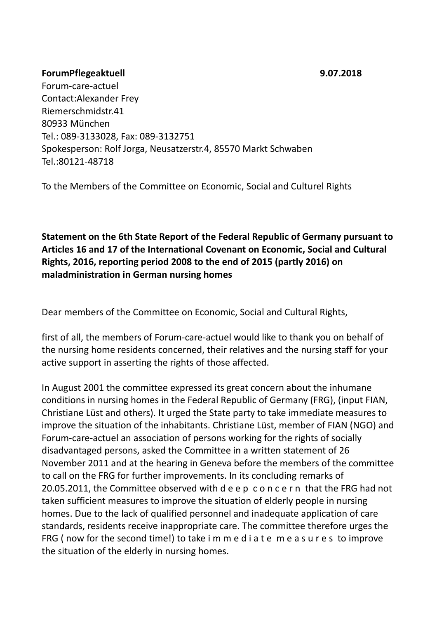## **ForumPflegeaktuell 9.07.2018**

Forum-care-actuel Contact:Alexander Frey Riemerschmidstr.41 80933 München Tel.: 089-3133028, Fax: 089-3132751 Spokesperson: Rolf Jorga, Neusatzerstr.4, 85570 Markt Schwaben Tel.:80121-48718

To the Members of the Committee on Economic, Social and Culturel Rights

**Statement on the 6th State Report of the Federal Republic of Germany pursuant to Articles 16 and 17 of the International Covenant on Economic, Social and Cultural Rights, 2016, reporting period 2008 to the end of 2015 (partly 2016) on maladministration in German nursing homes**

Dear members of the Committee on Economic, Social and Cultural Rights,

first of all, the members of Forum-care-actuel would like to thank you on behalf of the nursing home residents concerned, their relatives and the nursing staff for your active support in asserting the rights of those affected.

In August 2001 the committee expressed its great concern about the inhumane conditions in nursing homes in the Federal Republic of Germany (FRG), (input FIAN, Christiane Lüst and others). It urged the State party to take immediate measures to improve the situation of the inhabitants. Christiane Lüst, member of FIAN (NGO) and Forum-care-actuel an association of persons working for the rights of socially disadvantaged persons, asked the Committee in a written statement of 26 November 2011 and at the hearing in Geneva before the members of the committee to call on the FRG for further improvements. In its concluding remarks of 20.05.2011, the Committee observed with d e e p c o n c e r n that the FRG had not taken sufficient measures to improve the situation of elderly people in nursing homes. Due to the lack of qualified personnel and inadequate application of care standards, residents receive inappropriate care. The committee therefore urges the FRG ( now for the second time!) to take i m m e d i a t e m e a s u r e s to improve the situation of the elderly in nursing homes.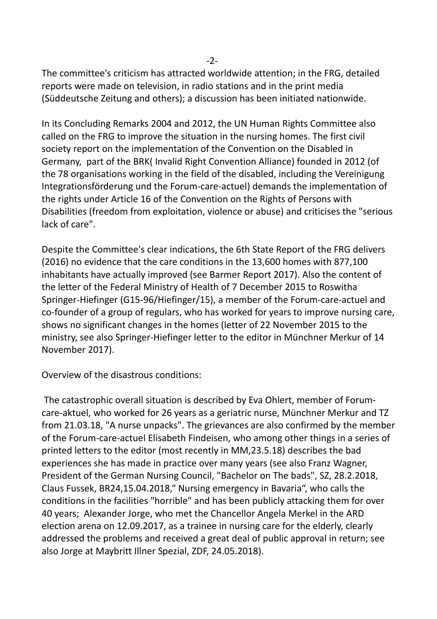-2-

The committee's criticism has attracted worldwide attention; in the FRG, detailed reports were made on television, in radio stations and in the print media (Süddeutsche Zeitung and others); a discussion has been initiated nationwide.

In its Concluding Remarks 2004 and 2012, the UN Human Rights Committee also called on the FRG to improve the situation in the nursing homes. The first civil society report on the implementation of the Convention on the Disabled in Germany, part of the BRK( Invalid Right Convention Alliance) founded in 2012 (of the 78 organisations working in the field of the disabled, including the Vereinigung Integrationsförderung und the Forum-care-actuel) demands the implementation of the rights under Article 16 of the Convention on the Rights of Persons with Disabilities (freedom from exploitation, violence or abuse) and criticises the "serious lack of care".

Despite the Committee's clear indications, the 6th State Report of the FRG delivers (2016) no evidence that the care conditions in the 13,600 homes with 877,100 inhabitants have actually improved (see Barmer Report 2017). Also the content of the letter of the Federal Ministry of Health of 7 December 2015 to Roswitha Springer-Hiefinger (G15-96/Hiefinger/15), a member of the Forum-care-actuel and co-founder of a group of regulars, who has worked for years to improve nursing care, shows no significant changes in the homes (letter of 22 November 2015 to the ministry, see also Springer-Hiefinger letter to the editor in Münchner Merkur of 14 November 2017).

Overview of the disastrous conditions:

 The catastrophic overall situation is described by Eva Ohlert, member of Forumcare-aktuel, who worked for 26 years as a geriatric nurse, Münchner Merkur and TZ from 21.03.18, "A nurse unpacks". The grievances are also confirmed by the member of the Forum-care-actuel Elisabeth Findeisen, who among other things in a series of printed letters to the editor (most recently in MM,23.5.18) describes the bad experiences she has made in practice over many years (see also Franz Wagner, President of the German Nursing Council, "Bachelor on The bads", SZ, 28.2.2018, Claus Fussek, BR24,15.04.2018," Nursing emergency in Bavaria", who calls the conditions in the facilities "horrible" and has been publicly attacking them for over 40 years; Alexander Jorge, who met the Chancellor Angela Merkel in the ARD election arena on 12.09.2017, as a trainee in nursing care for the elderly, clearly addressed the problems and received a great deal of public approval in return; see also Jorge at Maybritt Illner Spezial, ZDF, 24.05.2018).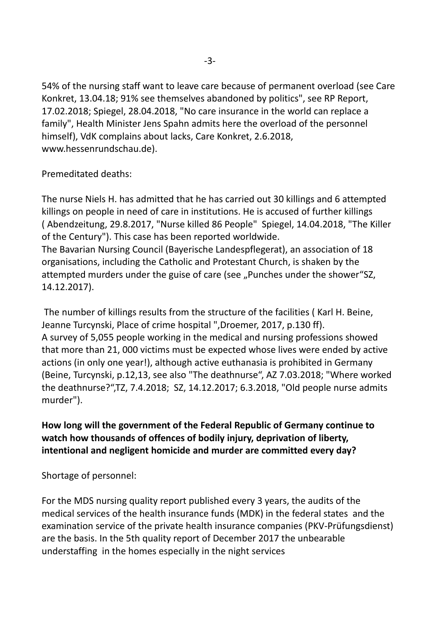54% of the nursing staff want to leave care because of permanent overload (see Care Konkret, 13.04.18; 91% see themselves abandoned by politics", see RP Report, 17.02.2018; Spiegel, 28.04.2018, "No care insurance in the world can replace a family", Health Minister Jens Spahn admits here the overload of the personnel himself), VdK complains about lacks, Care Konkret, 2.6.2018, www.hessenrundschau.de).

Premeditated deaths:

The nurse Niels H. has admitted that he has carried out 30 killings and 6 attempted killings on people in need of care in institutions. He is accused of further killings ( Abendzeitung, 29.8.2017, "Nurse killed 86 People" Spiegel, 14.04.2018, "The Killer of the Century"). This case has been reported worldwide. The Bavarian Nursing Council (Bayerische Landespflegerat), an association of 18

organisations, including the Catholic and Protestant Church, is shaken by the attempted murders under the guise of care (see "Punches under the shower"SZ, 14.12.2017).

 The number of killings results from the structure of the facilities ( Karl H. Beine, Jeanne Turcynski, Place of crime hospital ",Droemer, 2017, p.130 ff). A survey of 5,055 people working in the medical and nursing professions showed that more than 21, 000 victims must be expected whose lives were ended by active actions (in only one year!), although active euthanasia is prohibited in Germany (Beine, Turcynski, p.12,13, see also "The deathnurse", AZ 7.03.2018; "Where worked the deathnurse?",TZ, 7.4.2018; SZ, 14.12.2017; 6.3.2018, "Old people nurse admits murder").

**How long will the government of the Federal Republic of Germany continue to watch how thousands of offences of bodily injury, deprivation of liberty, intentional and negligent homicide and murder are committed every day?**

Shortage of personnel:

For the MDS nursing quality report published every 3 years, the audits of the medical services of the health insurance funds (MDK) in the federal states and the examination service of the private health insurance companies (PKV-Prüfungsdienst) are the basis. In the 5th quality report of December 2017 the unbearable understaffing in the homes especially in the night services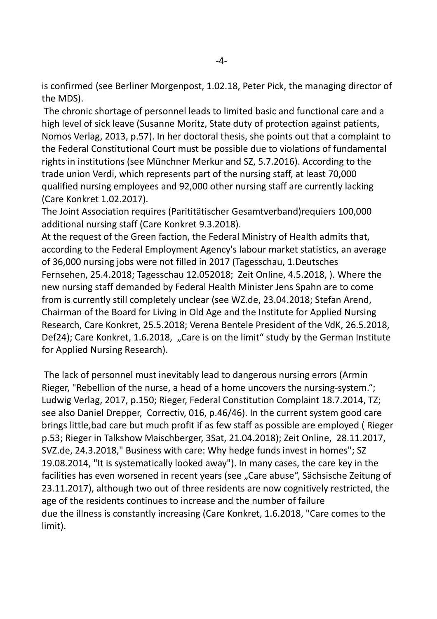is confirmed (see Berliner Morgenpost, 1.02.18, Peter Pick, the managing director of the MDS).

 The chronic shortage of personnel leads to limited basic and functional care and a high level of sick leave (Susanne Moritz, State duty of protection against patients, Nomos Verlag, 2013, p.57). In her doctoral thesis, she points out that a complaint to the Federal Constitutional Court must be possible due to violations of fundamental rights in institutions (see Münchner Merkur and SZ, 5.7.2016). According to the trade union Verdi, which represents part of the nursing staff, at least 70,000 qualified nursing employees and 92,000 other nursing staff are currently lacking (Care Konkret 1.02.2017).

The Joint Association requires (Parititätischer Gesamtverband)requiers 100,000 additional nursing staff (Care Konkret 9.3.2018).

At the request of the Green faction, the Federal Ministry of Health admits that, according to the Federal Employment Agency's labour market statistics, an average of 36,000 nursing jobs were not filled in 2017 (Tagesschau, 1.Deutsches Fernsehen, 25.4.2018; Tagesschau 12.052018; Zeit Online, 4.5.2018, ). Where the new nursing staff demanded by Federal Health Minister Jens Spahn are to come from is currently still completely unclear (see WZ.de, 23.04.2018; Stefan Arend, Chairman of the Board for Living in Old Age and the Institute for Applied Nursing Research, Care Konkret, 25.5.2018; Verena Bentele President of the VdK, 26.5.2018, Def24); Care Konkret, 1.6.2018, "Care is on the limit" study by the German Institute for Applied Nursing Research).

 The lack of personnel must inevitably lead to dangerous nursing errors (Armin Rieger, "Rebellion of the nurse, a head of a home uncovers the nursing-system."; Ludwig Verlag, 2017, p.150; Rieger, Federal Constitution Complaint 18.7.2014, TZ; see also Daniel Drepper, Correctiv, 016, p.46/46). In the current system good care brings little,bad care but much profit if as few staff as possible are employed ( Rieger p.53; Rieger in Talkshow Maischberger, 3Sat, 21.04.2018); Zeit Online, 28.11.2017, SVZ.de, 24.3.2018," Business with care: Why hedge funds invest in homes"; SZ 19.08.2014, "It is systematically looked away"). In many cases, the care key in the facilities has even worsened in recent years (see "Care abuse", Sächsische Zeitung of 23.11.2017), although two out of three residents are now cognitively restricted, the age of the residents continues to increase and the number of failure due the illness is constantly increasing (Care Konkret, 1.6.2018, "Care comes to the limit).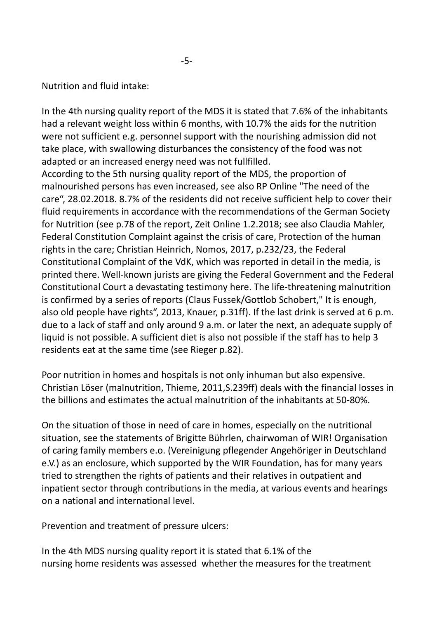Nutrition and fluid intake:

In the 4th nursing quality report of the MDS it is stated that 7.6% of the inhabitants had a relevant weight loss within 6 months, with 10.7% the aids for the nutrition were not sufficient e.g. personnel support with the nourishing admission did not take place, with swallowing disturbances the consistency of the food was not adapted or an increased energy need was not fullfilled.

According to the 5th nursing quality report of the MDS, the proportion of malnourished persons has even increased, see also RP Online "The need of the care", 28.02.2018. 8.7% of the residents did not receive sufficient help to cover their fluid requirements in accordance with the recommendations of the German Society for Nutrition (see p.78 of the report, Zeit Online 1.2.2018; see also Claudia Mahler, Federal Constitution Complaint against the crisis of care, Protection of the human rights in the care; Christian Heinrich, Nomos, 2017, p.232/23, the Federal Constitutional Complaint of the VdK, which was reported in detail in the media, is printed there. Well-known jurists are giving the Federal Government and the Federal Constitutional Court a devastating testimony here. The life-threatening malnutrition is confirmed by a series of reports (Claus Fussek/Gottlob Schobert," It is enough, also old people have rights", 2013, Knauer, p.31ff). If the last drink is served at 6 p.m. due to a lack of staff and only around 9 a.m. or later the next, an adequate supply of liquid is not possible. A sufficient diet is also not possible if the staff has to help 3 residents eat at the same time (see Rieger p.82).

Poor nutrition in homes and hospitals is not only inhuman but also expensive. Christian Löser (malnutrition, Thieme, 2011,S.239ff) deals with the financial losses in the billions and estimates the actual malnutrition of the inhabitants at 50-80%.

On the situation of those in need of care in homes, especially on the nutritional situation, see the statements of Brigitte Bührlen, chairwoman of WIR! Organisation of caring family members e.o. (Vereinigung pflegender Angehöriger in Deutschland e.V.) as an enclosure, which supported by the WIR Foundation, has for many years tried to strengthen the rights of patients and their relatives in outpatient and inpatient sector through contributions in the media, at various events and hearings on a national and international level.

Prevention and treatment of pressure ulcers:

In the 4th MDS nursing quality report it is stated that 6.1% of the nursing home residents was assessed whether the measures for the treatment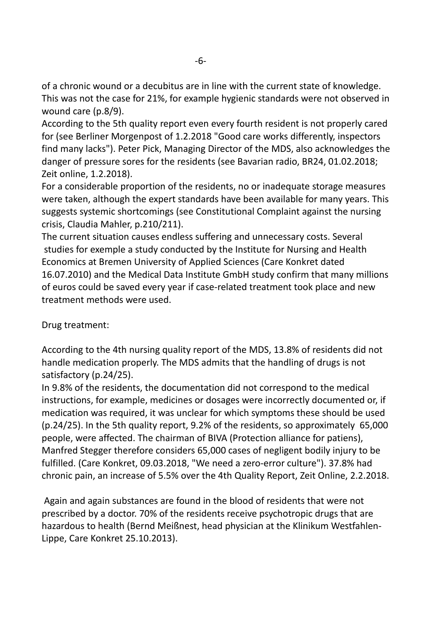of a chronic wound or a decubitus are in line with the current state of knowledge. This was not the case for 21%, for example hygienic standards were not observed in wound care (p.8/9).

According to the 5th quality report even every fourth resident is not properly cared for (see Berliner Morgenpost of 1.2.2018 "Good care works differently, inspectors find many lacks"). Peter Pick, Managing Director of the MDS, also acknowledges the danger of pressure sores for the residents (see Bavarian radio, BR24, 01.02.2018; Zeit online, 1.2.2018).

For a considerable proportion of the residents, no or inadequate storage measures were taken, although the expert standards have been available for many years. This suggests systemic shortcomings (see Constitutional Complaint against the nursing crisis, Claudia Mahler, p.210/211).

The current situation causes endless suffering and unnecessary costs. Several studies for exemple a study conducted by the Institute for Nursing and Health Economics at Bremen University of Applied Sciences (Care Konkret dated 16.07.2010) and the Medical Data Institute GmbH study confirm that many millions of euros could be saved every year if case-related treatment took place and new treatment methods were used.

## Drug treatment:

According to the 4th nursing quality report of the MDS, 13.8% of residents did not handle medication properly. The MDS admits that the handling of drugs is not satisfactory (p.24/25).

In 9.8% of the residents, the documentation did not correspond to the medical instructions, for example, medicines or dosages were incorrectly documented or, if medication was required, it was unclear for which symptoms these should be used (p.24/25). In the 5th quality report, 9.2% of the residents, so approximately 65,000 people, were affected. The chairman of BIVA (Protection alliance for patiens), Manfred Stegger therefore considers 65,000 cases of negligent bodily injury to be fulfilled. (Care Konkret, 09.03.2018, "We need a zero-error culture"). 37.8% had chronic pain, an increase of 5.5% over the 4th Quality Report, Zeit Online, 2.2.2018.

 Again and again substances are found in the blood of residents that were not prescribed by a doctor. 70% of the residents receive psychotropic drugs that are hazardous to health (Bernd Meißnest, head physician at the Klinikum Westfahlen-Lippe, Care Konkret 25.10.2013).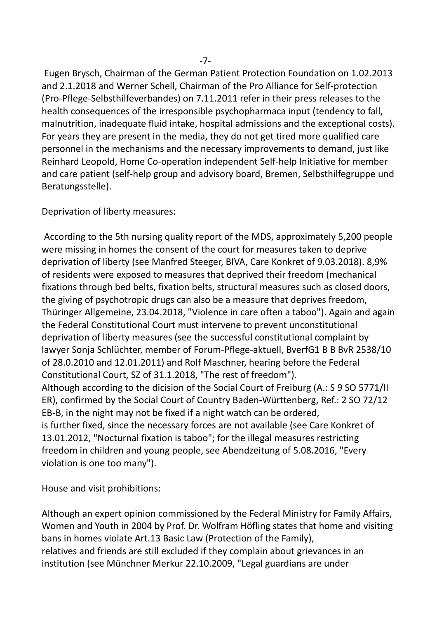Eugen Brysch, Chairman of the German Patient Protection Foundation on 1.02.2013 and 2.1.2018 and Werner Schell, Chairman of the Pro Alliance for Self-protection (Pro-Pflege-Selbsthilfeverbandes) on 7.11.2011 refer in their press releases to the health consequences of the irresponsible psychopharmaca input (tendency to fall, malnutrition, inadequate fluid intake, hospital admissions and the exceptional costs). For years they are present in the media, they do not get tired more qualified care personnel in the mechanisms and the necessary improvements to demand, just like Reinhard Leopold, Home Co-operation independent Self-help Initiative for member and care patient (self-help group and advisory board, Bremen, Selbsthilfegruppe und Beratungsstelle).

Deprivation of liberty measures:

 According to the 5th nursing quality report of the MDS, approximately 5,200 people were missing in homes the consent of the court for measures taken to deprive deprivation of liberty (see Manfred Steeger, BIVA, Care Konkret of 9.03.2018). 8,9% of residents were exposed to measures that deprived their freedom (mechanical fixations through bed belts, fixation belts, structural measures such as closed doors, the giving of psychotropic drugs can also be a measure that deprives freedom, Thüringer Allgemeine, 23.04.2018, "Violence in care often a taboo"). Again and again the Federal Constitutional Court must intervene to prevent unconstitutional deprivation of liberty measures (see the successful constitutional complaint by lawyer Sonja Schlüchter, member of Forum-Pflege-aktuell, BverfG1 B B BvR 2538/10 of 28.0.2010 and 12.01.2011) and Rolf Maschner, hearing before the Federal Constitutional Court, SZ of 31.1.2018, "The rest of freedom"). Although according to the dicision of the Social Court of Freiburg (A.: S 9 SO 5771/II ER), confirmed by the Social Court of Country Baden-Württenberg, Ref.: 2 SO 72/12 EB-B, in the night may not be fixed if a night watch can be ordered, is further fixed, since the necessary forces are not available (see Care Konkret of 13.01.2012, "Nocturnal fixation is taboo"; for the illegal measures restricting freedom in children and young people, see Abendzeitung of 5.08.2016, "Every violation is one too many").

House and visit prohibitions:

Although an expert opinion commissioned by the Federal Ministry for Family Affairs, Women and Youth in 2004 by Prof. Dr. Wolfram Höfling states that home and visiting bans in homes violate Art.13 Basic Law (Protection of the Family), relatives and friends are still excluded if they complain about grievances in an institution (see Münchner Merkur 22.10.2009, "Legal guardians are under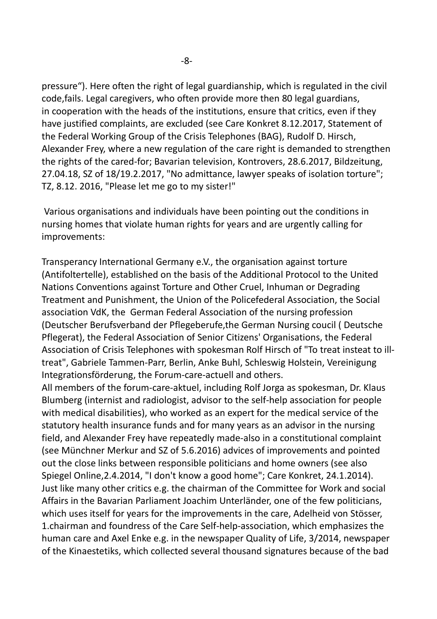pressure"). Here often the right of legal guardianship, which is regulated in the civil code,fails. Legal caregivers, who often provide more then 80 legal guardians, in cooperation with the heads of the institutions, ensure that critics, even if they have justified complaints, are excluded (see Care Konkret 8.12.2017, Statement of the Federal Working Group of the Crisis Telephones (BAG), Rudolf D. Hirsch, Alexander Frey, where a new regulation of the care right is demanded to strengthen the rights of the cared-for; Bavarian television, Kontrovers, 28.6.2017, Bildzeitung, 27.04.18, SZ of 18/19.2.2017, "No admittance, lawyer speaks of isolation torture"; TZ, 8.12. 2016, "Please let me go to my sister!"

 Various organisations and individuals have been pointing out the conditions in nursing homes that violate human rights for years and are urgently calling for improvements:

Transperancy International Germany e.V., the organisation against torture (Antifoltertelle), established on the basis of the Additional Protocol to the United Nations Conventions against Torture and Other Cruel, Inhuman or Degrading Treatment and Punishment, the Union of the Policefederal Association, the Social association VdK, the German Federal Association of the nursing profession (Deutscher Berufsverband der Pflegeberufe,the German Nursing coucil ( Deutsche Pflegerat), the Federal Association of Senior Citizens' Organisations, the Federal Association of Crisis Telephones with spokesman Rolf Hirsch of "To treat insteat to illtreat", Gabriele Tammen-Parr, Berlin, Anke Buhl, Schleswig Holstein, Vereinigung Integrationsförderung, the Forum-care-actuell and others.

All members of the forum-care-aktuel, including Rolf Jorga as spokesman, Dr. Klaus Blumberg (internist and radiologist, advisor to the self-help association for people with medical disabilities), who worked as an expert for the medical service of the statutory health insurance funds and for many years as an advisor in the nursing field, and Alexander Frey have repeatedly made-also in a constitutional complaint (see Münchner Merkur and SZ of 5.6.2016) advices of improvements and pointed out the close links between responsible politicians and home owners (see also Spiegel Online,2.4.2014, "I don't know a good home"; Care Konkret, 24.1.2014). Just like many other critics e.g. the chairman of the Committee for Work and social Affairs in the Bavarian Parliament Joachim Unterländer, one of the few politicians, which uses itself for years for the improvements in the care, Adelheid von Stösser, 1.chairman and foundress of the Care Self-help-association, which emphasizes the human care and Axel Enke e.g. in the newspaper Quality of Life, 3/2014, newspaper of the Kinaestetiks, which collected several thousand signatures because of the bad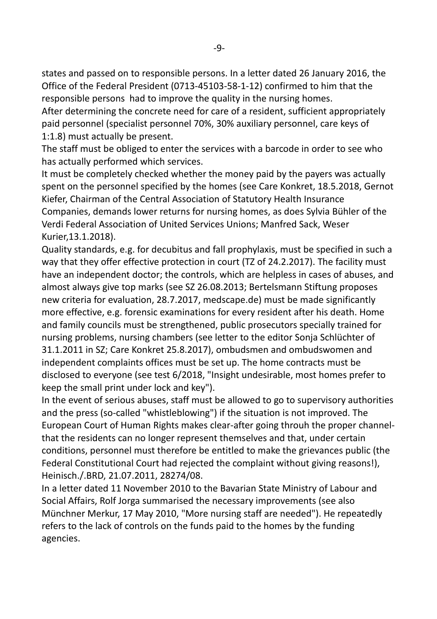states and passed on to responsible persons. In a letter dated 26 January 2016, the Office of the Federal President (0713-45103-58-1-12) confirmed to him that the responsible persons had to improve the quality in the nursing homes.

After determining the concrete need for care of a resident, sufficient appropriately paid personnel (specialist personnel 70%, 30% auxiliary personnel, care keys of 1:1.8) must actually be present.

The staff must be obliged to enter the services with a barcode in order to see who has actually performed which services.

It must be completely checked whether the money paid by the payers was actually spent on the personnel specified by the homes (see Care Konkret, 18.5.2018, Gernot Kiefer, Chairman of the Central Association of Statutory Health Insurance Companies, demands lower returns for nursing homes, as does Sylvia Bühler of the Verdi Federal Association of United Services Unions; Manfred Sack, Weser Kurier,13.1.2018).

Quality standards, e.g. for decubitus and fall prophylaxis, must be specified in such a way that they offer effective protection in court (TZ of 24.2.2017). The facility must have an independent doctor; the controls, which are helpless in cases of abuses, and almost always give top marks (see SZ 26.08.2013; Bertelsmann Stiftung proposes new criteria for evaluation, 28.7.2017, medscape.de) must be made significantly more effective, e.g. forensic examinations for every resident after his death. Home and family councils must be strengthened, public prosecutors specially trained for nursing problems, nursing chambers (see letter to the editor Sonja Schlüchter of 31.1.2011 in SZ; Care Konkret 25.8.2017), ombudsmen and ombudswomen and independent complaints offices must be set up. The home contracts must be disclosed to everyone (see test 6/2018, "Insight undesirable, most homes prefer to keep the small print under lock and key").

In the event of serious abuses, staff must be allowed to go to supervisory authorities and the press (so-called "whistleblowing") if the situation is not improved. The European Court of Human Rights makes clear-after going throuh the proper channelthat the residents can no longer represent themselves and that, under certain conditions, personnel must therefore be entitled to make the grievances public (the Federal Constitutional Court had rejected the complaint without giving reasons!), Heinisch./.BRD, 21.07.2011, 28274/08.

In a letter dated 11 November 2010 to the Bavarian State Ministry of Labour and Social Affairs, Rolf Jorga summarised the necessary improvements (see also Münchner Merkur, 17 May 2010, "More nursing staff are needed"). He repeatedly refers to the lack of controls on the funds paid to the homes by the funding agencies.